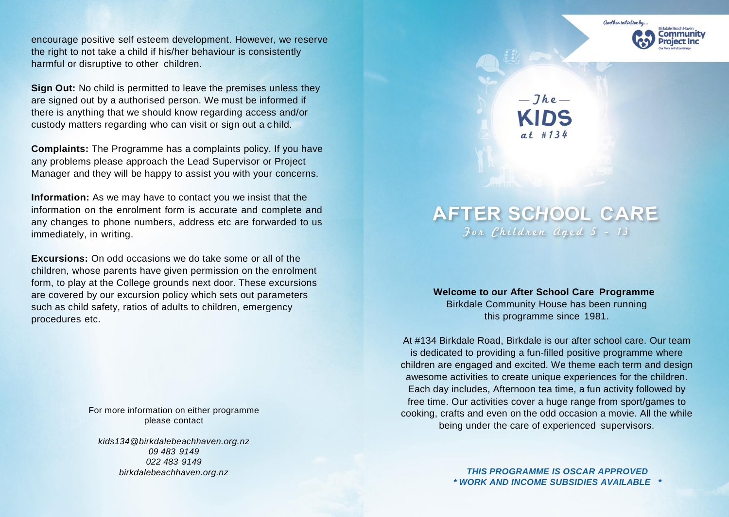encourage positive self esteem development. However, we reserve the right to not take a child if his/her behaviour is consistently harmful or disruptive to other children.

**Sign Out:** No child is permitted to leave the premises unless they are signed out by a authorised person. We must be informed if there is anything that we should know regarding access and/or custody matters regarding who can visit or sign out a c hild.

**Complaints:** The Programme has a complaints policy. If you have any problems please approach the Lead Supervisor or Project Manager and they will be happy to assist you with your concerns.

**Information:** As we may have to contact you we insist that the information on the enrolment form is accurate and complete and any changes to phone numbers, address etc are forwarded to us immediately, in writing.

**Excursions:** On odd occasions we do take some or all of the children, whose parents have given permission on the enrolment form, to play at the College grounds next door. These excursions are covered by our excursion policy which sets out parameters such as child safety, ratios of adults to children, emergency procedures etc.

> For more information on either programme please contact

*[kids134@birkdalebeachhaven.org.nz](mailto:kids134@birkdalebeachhaven.org.nz) 09 483 9149 022 483 9149 birkdalebeachhaven.org.nz*



 $-Jhe-$ 

## **AFTER SCHOOL CARE**  $30x$  Children aged  $5 - 13$

**Welcome to our After School Care Programme** Birkdale Community House has been running this programme since 1981.

At #134 Birkdale Road, Birkdale is our after school care. Our team is dedicated to providing a fun-filled positive programme where children are engaged and excited. We theme each term and design awesome activities to create unique experiences for the children. Each day includes, Afternoon tea time, a fun activity followed by free time. Our activities cover a huge range from sport/games to cooking, crafts and even on the odd occasion a movie. All the while being under the care of experienced supervisors.

> *THIS PROGRAMME IS OSCAR APPROVED \* WORK AND INCOME SUBSIDIES AVAILABLE \**